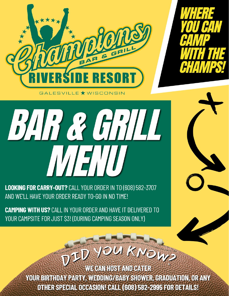



GALESVILLE **\*** WISCONSIN

BAR CHALL 

LOOKING FOR CARRY-OUT? CALL YOUR ORDER IN TO (608) 582-3707 AND WE'LL HAVE YOUR ORDER READY TO-GO IN NO TIME!

**CAMPING WITH US?** CALL IN YOUR ORDER AND HAVE IT DELIVERED TO YOUR CAMPSITE FOR JUST \$3! (DURING CAMPING SEASON ONLY)

PED YO

**WE CAN HOST AND CATER** YOUR BIRTHDAY PARTY, WEDDING/BABY SHOWER, GRADUATION, OR ANY OTHER SPECIAL OCCASION! CALL (608) 582-2995 FOR DETAILS!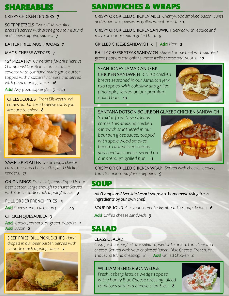# SHAREABLES

#### CRISPY CHICKEN TENDERS 7

SOFT PRETZELS *Two 14" Milwaukee pretzels served with stone ground mustard and cheese dipping sauces. 7* 

#### BATTER FRIED MUSHROOMS 7

#### MAC & CHEESE WEDGES 7

16" PIZZA FRY *Game time favorite here at Champions! Our 16 inch pizza crust is covered with our hand made garlic butter, topped with mozzarella cheese and served with pizza dipping sauce. 16* 

*Add Any pizza toppings 1.5 each* 

CHEESE CURDS *From Ellsworth, WI comes our battered cheese curds you are sure to enjoy! 8*



SAMPLER PLATTER *Onion rings, cheese curds, mac and cheese bites, and chicken tenders. 17*

ONION RINGS *Fresh cut, hand dipped in our beer batter. Large enough to share! Served with our chipotle ranch dipping sauce. 9* 

#### FULL ORDER FRENCH FRIES *5*

*Add Cheese and real bacon pieces 2.5* 

#### CHICKEN QUESADILLA *9*

*Add lettuce, tomato, or green peppers 1 Add Bacon 2* 

DEEP FRIED DILL PICKLE CHIPS *Hand dipped in our beer batter. Served with chipotle ranch dipping sauce. 7* 



# SANDWICHES & WRAPS

CRISPY OR GRILLED CHICKEN MELT *Cherrywood smoked bacon, Swiss and American cheeses on grilled wheat bread. 10* 

CRISPY OR GRILLED CHICKEN SANDWICH *Served with lettuce and mayo on our premium grilled bun. 9*

GRILLED CHEESE SANDWICH 3 | *Add Ham 2* 

PHILLY CHEESE STEAK SANDWICH *Shaved prime beef with sautéed green peppers and onions, mozzarella cheese and Au Jus. 10* 

### SEAN JONES JAMAICAN JERK

CHICKEN SANDWICH *Grilled chicken breast seasoned in our Jamaican jerk rub topped with coleslaw and grilled pineapple, served on our premium grilled bun. 10* 



### SANTANA DOTSON BOURBON GLAZED CHICKEN SANDWICH

*Straight from New Orleans comes this amazing chicken sandwich smothered in our bourbon glaze sauce, topped with apple wood smoked bacon, caramelized onions, and cheddar cheese, served on our premium grilled bun. 11* 



CRISPY OR GRILLED CHICKEN WRAP *Served with cheese, lettuce, tomato, onion and green peppers. 9* 

### **SOUP**

*All Champions Riverside Resort soups are homemade using fresh ingredients by our own chef.* 

SOUP DE JOUR *Ask your server today about the soup de jour! 6* 

*Add Grilled cheese sandwich 3* 

# SALAD

#### CLASSIC SALAD

*Crisp fresh iceberg lettuce salad topped with onion, tomatoes and cheese. Served with your choice of Ranch, Blue Cheese, French, or Thousand Island dressing. 8* | *Add Grilled Chicken 4* 

#### WILLIAM HENDERSON WEDGE

*Fresh iceberg lettuce wedge topped with chunky Blue Cheese dressing, diced tomatoes and feta cheese crumbles. 8* 

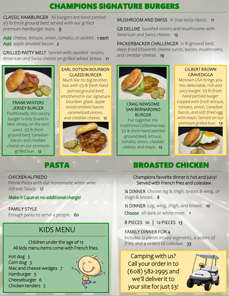# CHAMPIONS SIGNATURE BURGERS

CLASSIC HAMBURGER *All burgers are hand pattied 1/3 lb fresh ground beef served with our grilled premium hamburger buns. 9* 

*Add cheese, lettuce, onion, tomato, or pickles 1 each Add apple smoked bacon 2* 

GRILLED PATTY MELT *Served with sautéed onions, American and Swiss cheese on grilled wheat bread. 11* 



FRANK WINTERS JERSEY BURGER *Traditionally, this savory burger is only found in New Jersey, on the east coast. 1/3 lb fresh ground beef, Canadian bacon, and cheddar cheese on our premium grilled bun. 12* 

EARL DOTSON BOURBON GLAZED BURGER

*Much like his big brother, but with 1/3 lb fresh hand pattied ground beef smothered in our signature bourbon glaze, apple wood smoked bacon, caramelized onions, and cheddar cheese. 12* 



### MUSHROOM AND SWISS *A true tasty classic. 11*

GB DELUXE *Sautéed onions and mushrooms with American and Swiss cheese. 12* 

PACKERBACKER CHALLENGER *½ lb ground beef, deep fried Ellsworth cheese curds, bacon, mushrooms, and cheddar cheese. 19* 



CRAIG NEWSOME SAN BERNARDINO BURGER

*Put together the traditional California way. 1/3 lb fresh hand pattied ground beef, lettuce, tomato, onion, cheddar cheese, and mayo. 12*

#### GILBERT BROWN GRAVEDIGGA

*Motown USA brings you this delectable, rich and juicy burger. 1/3 lb fresh hand pattied burger topped with fresh lettuce, tomato, onion, Canadian bacon, and soft fried egg with mayo. Served on our premium grilled bun. 13* 



CHICKEN ALFREDO

*Penne Pasta with our homemade white wine Alfredo Sauce. 17* 

*Make it Cajun at no additional charge!* 

FAMILY STYLE *Enough pasta to serve 4 people. 60* 

# KIDS MENU

Children under the age of 12 All kids menu items come with French fries.

Hot dog *5*  Corn dog *5*  Mac and cheese wedges *7*  Hamburger *5*  Cheeseburger *6*  Chicken tenders *5* 



# PASTA BROASTED CHICKEN

Champions favorite dinner is hot and juicy! Served with French fries and coleslaw.

¼ DINNER *Choose leg & thigh, breast & wing, or thigh & breast. 8* 

½ DINNER *Leg, wing, thigh, and breast. 10 Choose all dark or white meat. 1* 

8 PIECES *10* | 12 PIECES *13* 

#### FAMILY DINNER FOR 4

*Includes 12 pieces mixed segments, 4 orders of fries, and 4 orders of coleslaw. 33* 

Camping with us? Call your order in to (608) 582-2995 and we'll deliver it to your site for just \$3!